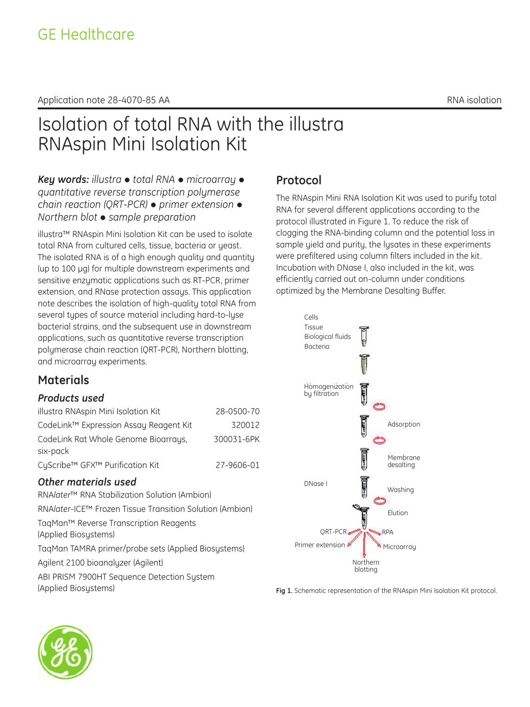#### Application note 28-4070-85 AA RNA isolation note 28-4070-85 AA

# Isolation of total RNA with the illustra RNAspin Mini Isolation Kit

*Key words: illustra* • total RNA • microarray • *quantitative reverse transcription polymerase chain reaction (QRT-PCR)* • *primer extension* • *Northern blot* • *sample preparation* 

illustra™ RNAspin Mini Isolation Kit can be used to isolate total RNA from cultured cells, tissue, bacteria or yeast. The isolated RNA is of a high enough quality and quantity (up to 100 μg) for multiple downstream experiments and sensitive enzymatic applications such as RT-PCR, primer extension, and RNase protection assays. This application note describes the isolation of high-quality total RNA from several types of source material including hard-to-lyse bacterial strains, and the subsequent use in downstream applications, such as quantitative reverse transcription polymerase chain reaction (QRT-PCR), Northern blotting, and microarray experiments.

### **Materials**

### *Products used*

| illustra RNAspin Mini Isolation Kit    | 28-0500-70 |
|----------------------------------------|------------|
| CodeLink™ Expression Assay Reagent Kit | 320012     |
| CodeLink Rat Whole Genome Bioarrays,   | 300031-6PK |
| six-pack                               |            |
| CyScribe™ GFX™ Purification Kit        | 27-9606-01 |

### *Other materials used*

RNA*later*™ RNA Stabilization Solution (Ambion) RNA*later*-ICE™ Frozen Tissue Transition Solution (Ambion) TaqMan™ Reverse Transcription Reagents (Applied Biosystems) TaqMan TAMRA primer/probe sets (Applied Biosystems) Agilent 2100 bioanalyzer (Agilent) ABI PRISM 7900HT Sequence Detection System (Applied Biosystems)

## **Protocol**

The RNAspin Mini RNA Isolation Kit was used to purifu total RNA for several different applications according to the protocol illustrated in Figure 1. To reduce the risk of clogging the RNA-binding column and the potential loss in sample yield and purity, the lysates in these experiments were prefiltered using column filters included in the kit. Incubation with DNase I, also included in the kit, was efficiently carried out on-column under conditions optimized by the Membrane Desalting Buffer.



**Fig 1.** Schematic representation of the RNAspin Mini Isolation Kit protocol.

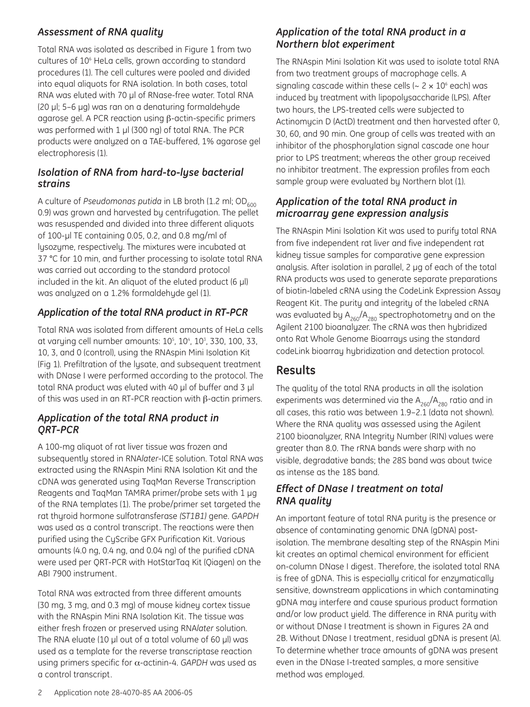### *Assessment of RNA quality*

Total RNA was isolated as described in Figure 1 from two cultures of 10<sup>6</sup> HeLa cells, grown according to standard procedures (1). The cell cultures were pooled and divided into equal aliquots for RNA isolation. In both cases, total RNA was eluted with 70 μl of RNase-free water. Total RNA (20 μl; 5–6 μg) was ran on a denaturing formaldehyde agarose gel. A PCR reaction using β-actin-specific primers was performed with 1 μl (300 ng) of total RNA. The PCR products were analyzed on a TAE-buffered, 1% agarose gel electrophoresis (1).

#### *Isolation of RNA from hard-to-lyse bacterial strains*

A culture of *Pseudomonas putida* in LB broth (1.2 ml; OD<sub>600</sub>) 0.9) was grown and harvested by centrifugation. The pellet was resuspended and divided into three different aliquots of 100-μl TE containing 0.05, 0.2, and 0.8 mg/ml of lysozyme, respectively. The mixtures were incubated at 37 °C for 10 min, and further processing to isolate total RNA was carried out according to the standard protocol included in the kit. An aliquot of the eluted product (6 μl) was analyzed on a 1.2% formaldehyde gel (1).

### *Application of the total RNA product in RT-PCR*

Total RNA was isolated from different amounts of HeLa cells at varying cell number amounts: 10<sup>5</sup>, 10<sup>4</sup>, 10<sup>3</sup>, 330, 100, 33, 10, 3, and 0 (control), using the RNAspin Mini Isolation Kit (Fig 1). Prefiltration of the lysate, and subsequent treatment with DNase I were performed according to the protocol. The total RNA product was eluted with 40 μl of buffer and 3 μl of this was used in an RT-PCR reaction with β-actin primers.

#### *Application of the total RNA product in QRT-PCR*

A 100-mg aliquot of rat liver tissue was frozen and subsequently stored in RNA*later*-ICE solution. Total RNA was extracted using the RNAspin Mini RNA Isolation Kit and the cDNA was generated using TaqMan Reverse Transcription Reagents and TaqMan TAMRA primer/probe sets with 1 μg of the RNA templates (1). The probe/primer set targeted the rat thyroid hormone sulfotransferase *(ST1B1)* gene. *GAPDH* was used as a control transcript. The reactions were then purified using the CyScribe GFX Purification Kit. Various amounts (4.0 ng, 0.4 ng, and 0.04 ng) of the purified cDNA were used per QRT-PCR with HotStarTaq Kit (Qiagen) on the ABI 7900 instrument.

Total RNA was extracted from three different amounts (30 mg, 3 mg, and 0.3 mg) of mouse kidney cortex tissue with the RNAspin Mini RNA Isolation Kit. The tissue was either fresh frozen or preserved using RNA*later* solution. The RNA eluate (10 μl out of a total volume of 60 μl) was used as a template for the reverse transcriptase reaction using primers specific for α-actinin-4. *GAPDH* was used as a control transcript.

### *Application of the total RNA product in a Northern blot experiment*

The RNAspin Mini Isolation Kit was used to isolate total RNA from two treatment groups of macrophage cells. A signaling cascade within these cells ( $\sim 2 \times 10^6$  each) was induced by treatment with lipopolysaccharide (LPS). After two hours, the LPS-treated cells were subjected to Actinomycin D (ActD) treatment and then harvested after 0, 30, 60, and 90 min. One group of cells was treated with an inhibitor of the phosphorylation signal cascade one hour prior to LPS treatment; whereas the other group received no inhibitor treatment. The expression profiles from each sample group were evaluated by Northern blot (1).

### *Application of the total RNA product in microarray gene expression analysis*

The RNAspin Mini Isolation Kit was used to purify total RNA from five independent rat liver and five independent rat kidney tissue samples for comparative gene expression analysis. After isolation in parallel, 2 μg of each of the total RNA products was used to generate separate preparations of biotin-labeled cRNA using the CodeLink Expression Assay Reagent Kit. The purity and integrity of the labeled cRNA was evaluated by  $A_{260}/A_{280}$  spectrophotometry and on the Agilent 2100 bioanalyzer. The cRNA was then hybridized onto Rat Whole Genome Bioarrays using the standard codeLink bioarray hybridization and detection protocol.

### **Results**

The quality of the total RNA products in all the isolation experiments was determined via the  $A_{260}/A_{280}$  ratio and in all cases, this ratio was between 1.9–2.1 (data not shown). Where the RNA quality was assessed using the Agilent 2100 bioanalyzer, RNA Integrity Number (RIN) values were greater than 8.0. The rRNA bands were sharp with no visible, degradative bands; the 28S band was about twice as intense as the 18S band.

### *Effect of DNase I treatment on total RNA quality*

An important feature of total RNA purity is the presence or absence of contaminating genomic DNA (gDNA) postisolation. The membrane desalting step of the RNAspin Mini kit creates an optimal chemical environment for efficient on-column DNase I digest. Therefore, the isolated total RNA is free of gDNA. This is especially critical for enzymatically sensitive, downstream applications in which contaminating gDNA may interfere and cause spurious product formation and/or low product yield. The difference in RNA purity with or without DNase I treatment is shown in Figures 2A and 2B. Without DNase I treatment, residual gDNA is present (A). To determine whether trace amounts of gDNA was present even in the DNase I-treated samples, a more sensitive method was employed.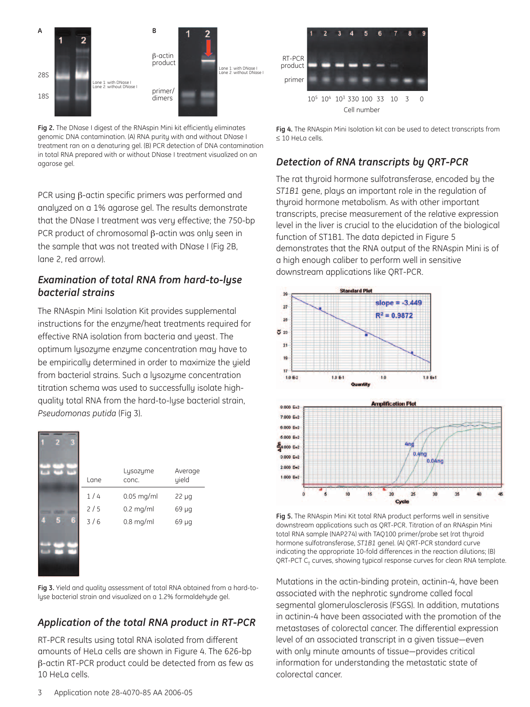

**Fig 2.** The DNase I digest of the RNAspin Mini kit efficiently eliminates genomic DNA contamination. (A) RNA purity with and without DNase I treatment ran on a denaturing gel. (B) PCR detection of DNA contamination in total RNA prepared with or without DNase I treatment visualized on an agarose gel.

PCR using β-actin specific primers was performed and analyzed on a 1% agarose gel. The results demonstrate that the DNase I treatment was very effective; the 750-bp PCR product of chromosomal β-actin was only seen in the sample that was not treated with DNase I (Fig 2B, lane 2, red arrow).

### *Examination of total RNA from hard-to-lyse bacterial strains*

The RNAspin Mini Isolation Kit provides supplemental instructions for the enzyme/heat treatments required for effective RNA isolation from bacteria and yeast. The optimum lysozyme enzyme concentration may have to be empirically determined in order to maximize the yield from bacterial strains. Such a lysozyme concentration titration schema was used to successfully isolate highquality total RNA from the hard-to-lyse bacterial strain, *Pseudomonas putida* (Fig 3).

|   | Lane | Lysozyme<br>conc. | Average<br>yield |
|---|------|-------------------|------------------|
|   | 1/4  | $0.05$ mg/ml      | $22 \mu g$       |
|   | 2/5  | $0.2$ mg/ml       | 69 µg            |
| 6 | 3/6  | $0.8$ mg/ml       | 69 µg            |
|   |      |                   |                  |
|   |      |                   |                  |

**Fig 3.** Yield and quality assessment of total RNA obtained from a hard-tolyse bacterial strain and visualized on a 1.2% formaldehyde gel.

### *Application of the total RNA product in RT-PCR*

RT-PCR results using total RNA isolated from different amounts of HeLa cells are shown in Figure 4. The 626-bp β-actin RT-PCR product could be detected from as few as 10 HeLa cells.



**Fig 4.** The RNAspin Mini Isolation kit can be used to detect transcripts from ≤ 10 HeLa cells.

### *Detection of RNA transcripts by QRT-PCR*

The rat thyroid hormone sulfotransferase, encoded by the *ST1B1* gene, plays an important role in the regulation of thuroid hormone metabolism. As with other important transcripts, precise measurement of the relative expression level in the liver is crucial to the elucidation of the biological function of ST1B1. The data depicted in Figure 5 demonstrates that the RNA output of the RNAspin Mini is of a high enough caliber to perform well in sensitive downstream applications like QRT-PCR.





**Fig 5.** The RNAspin Mini Kit total RNA product performs well in sensitive downstream applications such as QRT-PCR. Titration of an RNAspin Mini total RNA sample (NAP274) with TAQ100 primer/probe set (rat thyroid hormone sulfotransferase, *ST1B1* gene). (A) QRT-PCR standard curve indicating the appropriate 10-fold differences in the reaction dilutions; (B) QRT-PCT  $C_{\tau}$  curves, showing typical response curves for clean RNA template.

Mutations in the actin-binding protein, actinin-4, have been associated with the nephrotic syndrome called focal segmental glomerulosclerosis (FSGS). In addition, mutations in actinin-4 have been associated with the promotion of the metastases of colorectal cancer. The differential expression level of an associated transcript in a given tissue—even with only minute amounts of tissue—provides critical information for understanding the metastatic state of colorectal cancer.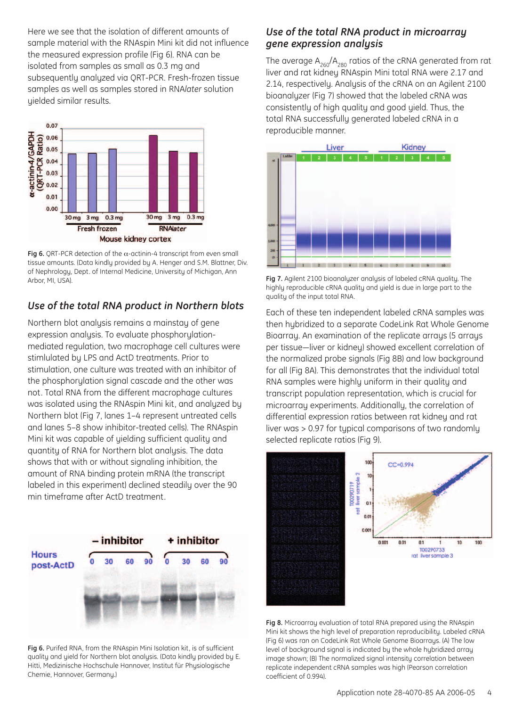Here we see that the isolation of different amounts of sample material with the RNAspin Mini kit did not influence the measured expression profile (Fig 6). RNA can be isolated from samples as small as 0.3 mg and subsequently analyzed via QRT-PCR. Fresh-frozen tissue samples as well as samples stored in RNA*later* solution yielded similar results.



**Fig 6.** ORT-PCR detection of the  $\alpha$ -actinin-4 transcript from even small tissue amounts. (Data kindly provided by A. Henger and S.M. Blattner, Div. of Nephrology, Dept. of Internal Medicine, University of Michigan, Ann Arbor, MI, USA). **Fig 7.** Agilent 2100 bioanalyzer analysis of labeled cRNA quality. The

### *Use of the total RNA product in Northern blots*

Northern blot analysis remains a mainstay of gene expression analysis. To evaluate phosphorylationmediated regulation, two macrophage cell cultures were stimlulated by LPS and ActD treatments. Prior to stimulation, one culture was treated with an inhibitor of the phosphorylation signal cascade and the other was not. Total RNA from the different macrophage cultures was isolated using the RNAspin Mini kit, and analyzed by Northern blot (Fig 7, lanes 1–4 represent untreated cells and lanes 5–8 show inhibitor-treated cells). The RNAspin Mini kit was capable of yielding sufficient quality and quantity of RNA for Northern blot analysis. The data shows that with or without signaling inhibition, the amount of RNA binding protein mRNA (the transcript labeled in this experiment) declined steadily over the 90 min timeframe after ActD treatment.



**Fig 6.** Purifed RNA, from the RNAspin Mini Isolation kit, is of sufficient quality and yield for Northern blot analysis. (Data kindly provided by E. Hitti, Medizinische Hochschule Hannover, Institut für Physiologische Chemie, Hannover, Germany.)

#### *Use of the total RNA product in microarray gene expression analysis*

The average  $A_{260}/A_{280}$  ratios of the cRNA generated from rat liver and rat kidney RNAspin Mini total RNA were 2.17 and 2.14, respectively. Analysis of the cRNA on an Agilent 2100 bioanalyzer (Fig 7) showed that the labeled cRNA was consistently of high quality and good yield. Thus, the total RNA successfully generated labeled cRNA in a reproducible manner.



highly reproducible cRNA quality and yield is due in large part to the quality of the input total RNA.

Each of these ten independent labeled cRNA samples was then hybridized to a separate CodeLink Rat Whole Genome Bioarray. An examination of the replicate arrays (5 arrays per tissue—liver or kidney) showed excellent correlation of the normalized probe signals (Fig 8B) and low background for all (Fig 8A). This demonstrates that the individual total RNA samples were highly uniform in their quality and transcript population representation, which is crucial for microarray experiments. Additionally, the correlation of differential expression ratios between rat kidney and rat liver was > 0.97 for typical comparisons of two randomly selected replicate ratios (Fig 9).



**Fig 8.** Microarray evaluation of total RNA prepared using the RNAspin Mini kit shows the high level of preparation reproducibility. Labeled cRNA (Fig 6) was ran on CodeLink Rat Whole Genome Bioarrays. (A) The low level of background signal is indicated by the whole hybridized array image shown; (B) The normalized signal intensity correlation between replicate independent cRNA samples was high (Pearson correlation coefficient of 0.994).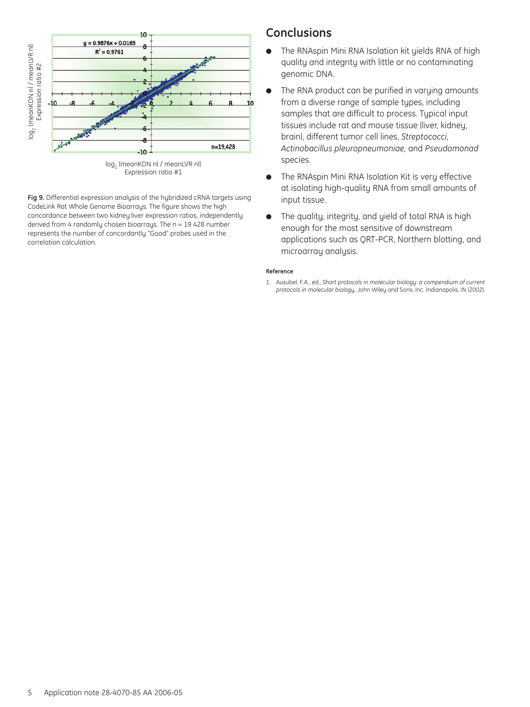

log<sub>2</sub> (meanKDN nl / meanLVR nl) Expression ratio #1

**Fig 9.** Differential expression analysis of the hybridized cRNA targets using CodeLink Rat Whole Genome Bioarrays. The figure shows the high concordance between two kidney:liver expression ratios, independently derived from 4 randomly chosen bioarrays. The n = 19 428 number represents the number of concordantly "Good" probes used in the

### **Conclusions**

- The RNAspin Mini RNA Isolation kit yields RNA of high quality and integrity with little or no contaminating genomic DNA.
- The RNA product can be purified in varying amounts from a diverse range of sample types, including samples that are difficult to process. Typical input tissues include rat and mouse tissue (liver, kidney, brain), different tumor cell lines, *Streptococci, Actinobacillus pleuropneumoniae,* and *Pseudomonad* species*.*
- The RNAspin Mini RNA Isolation Kit is very effective at isolating high-quality RNA from small amounts of input tissue.
- The quality, integrity, and yield of total RNA is high enough for the most sensitive of downstream applications such as QRT-PCR, Northern blotting, and microarray analysis.

#### **Reference**

1. Ausubel, F.A., ed., *Short protocols in molecular biology: a compendium of current protocols in molecular biology,* John Wiley and Sons, Inc. Indianapolis, IN (2002).